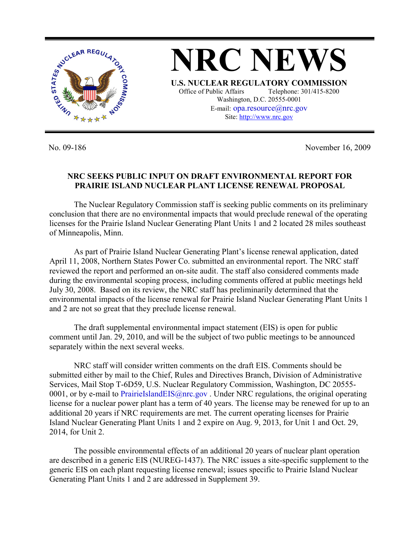

No. 09-186 November 16, 2009

## **NRC SEEKS PUBLIC INPUT ON DRAFT ENVIRONMENTAL REPORT FOR PRAIRIE ISLAND NUCLEAR PLANT LICENSE RENEWAL PROPOSAL**

 The Nuclear Regulatory Commission staff is seeking public comments on its preliminary conclusion that there are no environmental impacts that would preclude renewal of the operating licenses for the Prairie Island Nuclear Generating Plant Units 1 and 2 located 28 miles southeast of Minneapolis, Minn.

 As part of Prairie Island Nuclear Generating Plant's license renewal application, dated April 11, 2008, Northern States Power Co. submitted an environmental report. The NRC staff reviewed the report and performed an on-site audit. The staff also considered comments made during the environmental scoping process, including comments offered at public meetings held July 30, 2008. Based on its review, the NRC staff has preliminarily determined that the environmental impacts of the license renewal for Prairie Island Nuclear Generating Plant Units 1 and 2 are not so great that they preclude license renewal.

 The draft supplemental environmental impact statement (EIS) is open for public comment until Jan. 29, 2010, and will be the subject of two public meetings to be announced separately within the next several weeks.

 NRC staff will consider written comments on the draft EIS. Comments should be submitted either by mail to the Chief, Rules and Directives Branch, Division of Administrative Services, Mail Stop T-6D59, U.S. Nuclear Regulatory Commission, Washington, DC 20555- 0001, or by e-mail to PrairieIslandEIS@nrc.gov. Under NRC regulations, the original operating license for a nuclear power plant has a term of 40 years. The license may be renewed for up to an additional 20 years if NRC requirements are met. The current operating licenses for Prairie Island Nuclear Generating Plant Units 1 and 2 expire on Aug. 9, 2013, for Unit 1 and Oct. 29, 2014, for Unit 2.

 The possible environmental effects of an additional 20 years of nuclear plant operation are described in a generic EIS (NUREG-1437). The NRC issues a site-specific supplement to the generic EIS on each plant requesting license renewal; issues specific to Prairie Island Nuclear Generating Plant Units 1 and 2 are addressed in Supplement 39.